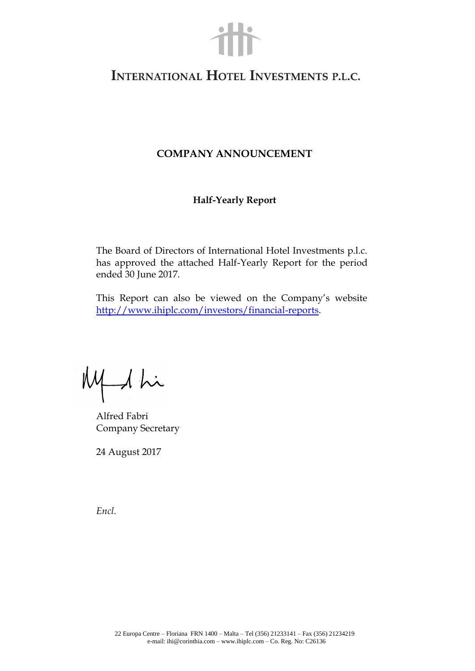

# INTERNATIONAL HOTEL INVESTMENTS P.L.C.

## **COMPANY ANNOUNCEMENT**

## **Half-Yearly Report**

The Board of Directors of International Hotel Investments p.l.c. has approved the attached Half-Yearly Report for the period ended 30 June 2017.

This Report can also be viewed on the Company's website [http://www.ihiplc.com/investors/financial-reports.](http://www.ihiplc.com/investors/financial-reports)

My 1 hi

Alfred Fabri Company Secretary

24 August 2017

*Encl.*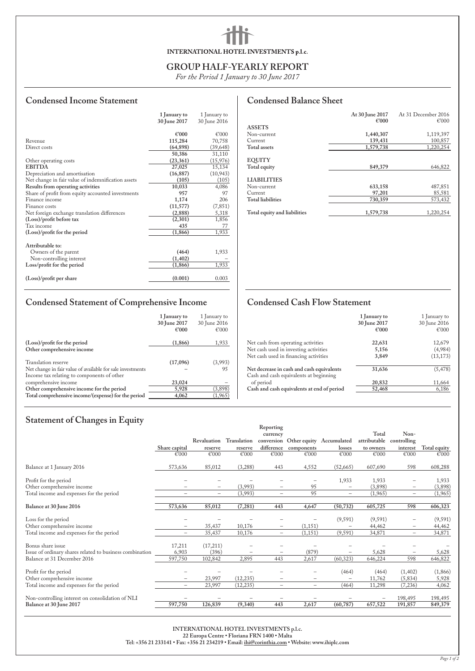# INTERNATIONAL HOTEL INVESTMENTS p.l.c.

## **GROUP HALF-YEARLY REPORT**

*For the Period 1 January to 30 June 2017*

# **Condensed Income Statement**

|                                                    | 1 January to | 1 January to |
|----------------------------------------------------|--------------|--------------|
|                                                    | 30 June 2017 | 30 June 2016 |
|                                                    |              |              |
|                                                    | €'000        | €'000        |
| Revenue                                            | 115,284      | 70,758       |
| Direct costs                                       | (64, 898)    | (39,648)     |
|                                                    | 50,386       | 31,110       |
| Other operating costs                              | (23, 361)    | (15, 976)    |
| <b>EBITDA</b>                                      | 27,025       | 15,134       |
| Depreciation and amortisation                      | (16, 887)    | (10, 943)    |
| Net change in fair value of indemnification assets | (105)        | (105)        |
| Results from operating activities                  | 10,033       | 4,086        |
| Share of profit from equity accounted investments  | 957          | 97           |
| Finance income                                     | 1,174        | 206          |
| Finance costs                                      | (11, 577)    | (7, 851)     |
| Net foreign exchange translation differences       | (2, 888)     | 5,318        |
| (Loss)/profit before tax                           | (2,301)      | 1,856        |
| Tax income                                         | 435          | 77           |
| (Loss)/profit for the period                       | (1, 866)     | 1,933        |
|                                                    |              |              |
| Attributable to:                                   |              |              |
| Owners of the parent                               | (464)        | 1,933        |
| Non-controlling interest                           | (1, 402)     |              |
| Loss/profit for the period                         | (1, 866)     | 1,933        |
|                                                    |              |              |
| (Loss)/profit per share                            | (0.001)      | 0.003        |
|                                                    |              |              |

# **Condensed Balance Sheet**

|                              | At 30 June 2017 | At 31 December 2016 |
|------------------------------|-----------------|---------------------|
|                              | €'000           | €'000               |
| <b>ASSETS</b>                |                 |                     |
| Non-current                  | 1,440,307       | 1,119,397           |
| Current                      | 139,431         | 100,857             |
| <b>Total assets</b>          | 1,579,738       | 1,220,254           |
|                              |                 |                     |
| <b>EQUITY</b>                |                 |                     |
| Total equity                 | 849,379         | 646,822             |
| <b>LIABILITIES</b>           |                 |                     |
| Non-current                  | 633,158         | 487,851             |
| Current                      | 97,201          | 85,581              |
| <b>Total liabilities</b>     | 730,359         | 573,432             |
| Total equity and liabilities | 1,579,738       | 1,220,254           |

# **Condensed Statement of Comprehensive Income**

|                                                                                                                                 | 1 January to<br>30 June 2017<br>€'000 | 1 January to<br>30 June 2016<br>€'000 |
|---------------------------------------------------------------------------------------------------------------------------------|---------------------------------------|---------------------------------------|
| (Loss)/profit for the period<br>Other comprehensive income                                                                      | (1,866)                               | 1,933                                 |
| Translation reserve<br>Net change in fair value of available for sale investments<br>Income tax relating to components of other | (17,096)                              | (3,993)<br>95                         |
| comprehensive income                                                                                                            | 23,024                                |                                       |
| Other comprehensive income for the period<br>Total comprehensive income/(expense) for the period                                | 5,928<br>4,062                        | (3,898)<br>(1, 965)                   |

# **Condensed Cash Flow Statement**

| 22,631<br>12,679<br>Net cash from operating activities<br>Net cash used in investing activities<br>5,156<br>Net cash used in financing activities<br>3,849<br>Net decrease in cash and cash equivalents<br>31,636<br>Cash and cash equivalents at beginning |           | 1 January to<br>30 June 2017<br>€'000 | 1 January to<br>30 June 2016<br>€'000 |
|-------------------------------------------------------------------------------------------------------------------------------------------------------------------------------------------------------------------------------------------------------------|-----------|---------------------------------------|---------------------------------------|
|                                                                                                                                                                                                                                                             |           |                                       |                                       |
|                                                                                                                                                                                                                                                             |           |                                       |                                       |
|                                                                                                                                                                                                                                                             |           |                                       | (4,984)                               |
|                                                                                                                                                                                                                                                             |           |                                       | (13, 173)                             |
|                                                                                                                                                                                                                                                             |           |                                       | (5, 478)                              |
|                                                                                                                                                                                                                                                             | of period | 20,832                                | 11,664                                |
| Cash and cash equivalents at end of period<br>52,468<br>6,186                                                                                                                                                                                               |           |                                       |                                       |

# **Statement of Changes in Equity**

|                                                                                                                                                                                          |                          |                          |                   | Reporting                |                       |                                     |              |                          |                       |
|------------------------------------------------------------------------------------------------------------------------------------------------------------------------------------------|--------------------------|--------------------------|-------------------|--------------------------|-----------------------|-------------------------------------|--------------|--------------------------|-----------------------|
|                                                                                                                                                                                          |                          |                          |                   | currency                 |                       |                                     | Total        | Non-                     |                       |
|                                                                                                                                                                                          |                          | Revaluation              | Translation       |                          |                       | conversion Other equity Accumulated | attributable | controlling              |                       |
|                                                                                                                                                                                          | Share capital            | reserve                  | reserve           |                          | difference components | losses                              | to owners    |                          | interest Total equity |
|                                                                                                                                                                                          | €'000                    | €'000                    | $\mathcal{E}$ 000 | €'000                    | $\mathcal{E}$ 000     | $\mathcal{E}$ 000                   | €'000        | $\mathcal{E}$ 000        | €'000                 |
| Balance at 1 January 2016                                                                                                                                                                | 573,636                  | 85,012                   | (3,288)           | 443                      | 4,552                 | (52,665)                            | 607,690      | 598                      | 608,288               |
| Profit for the period                                                                                                                                                                    |                          |                          |                   |                          |                       | 1,933                               | 1,933        | $\overline{\phantom{m}}$ | 1,933                 |
| Other comprehensive income                                                                                                                                                               |                          | $\qquad \qquad -$        | (3,993)           | $\qquad \qquad -$        | 95                    | $\qquad \qquad -$                   | (3,898)      | $\qquad \qquad -$        | (3,898)               |
| Total income and expenses for the period                                                                                                                                                 | $\overline{\phantom{0}}$ | $\overline{\phantom{0}}$ | (3,993)           | $\overline{\phantom{m}}$ | 95                    | $\overline{\phantom{m}}$            | (1,965)      | $-$                      | (1,965)               |
| Balance at 30 June 2016                                                                                                                                                                  | 573,636                  | 85,012                   | (7, 281)          | 443                      | 4,647                 | (50, 732)                           | 605,725      | 598                      | 606,323               |
| Loss for the period                                                                                                                                                                      |                          |                          |                   | $\overline{\phantom{0}}$ |                       | (9, 591)                            | (9,591)      | $\overline{\phantom{0}}$ | (9, 591)              |
| Other comprehensive income                                                                                                                                                               | $\qquad \qquad -$        | 35,437                   | 10,176            | $\overline{\phantom{0}}$ | (1, 151)              | $\qquad \qquad -$                   | 44,462       | $\overline{\phantom{m}}$ | 44,462                |
| Total income and expenses for the period                                                                                                                                                 | $\overline{\phantom{m}}$ | 35,437                   | 10,176            | $\overline{\phantom{0}}$ | (1, 151)              | (9,591)                             | 34,871       | $-$                      | 34,871                |
| Bonus share issue                                                                                                                                                                        | 17,211                   | (17,211)                 |                   |                          |                       |                                     |              |                          |                       |
| Issue of ordinary shares related to business combination                                                                                                                                 | 6,903                    | (396)                    |                   |                          | (879)                 |                                     | 5,628        | $\overline{\phantom{m}}$ | 5,628                 |
| Balance at 31 December 2016                                                                                                                                                              | 597,750                  | 102,842                  | 2,895             | 443                      | 2,617                 | (60, 323)                           | 646,224      | 598                      | 646,822               |
| Profit for the period                                                                                                                                                                    |                          |                          |                   |                          |                       | (464)                               | (464)        | (1,402)                  | (1,866)               |
| Other comprehensive income                                                                                                                                                               |                          | 23,997                   | (12, 235)         |                          |                       |                                     | 11,762       | (5,834)                  | 5,928                 |
| Total income and expenses for the period                                                                                                                                                 | $\overline{\phantom{0}}$ | 23,997                   | (12, 235)         | $-$                      | $\qquad \qquad -$     | (464)                               | 11,298       | (7,236)                  | 4,062                 |
| Non-controlling interest on consolidation of NLI                                                                                                                                         |                          |                          |                   |                          |                       |                                     |              | 198,495                  | 198,495               |
| Balance at 30 June 2017                                                                                                                                                                  | 597,750                  | 126,839                  | (9, 340)          | 443                      | 2,617                 | (60, 787)                           | 657,522      | 191,857                  | 849,379               |
| INTERNATIONAL HOTEL INVESTMENTS p.l.c.<br>22 Europa Centre · Floriana FRN 1400 · Malta<br>Tel: +356 21 233141 • Fax: +356 21 234219 • Email: ihi@corinthia.com • Website: www.ihiplc.com |                          |                          |                   |                          |                       |                                     |              |                          |                       |